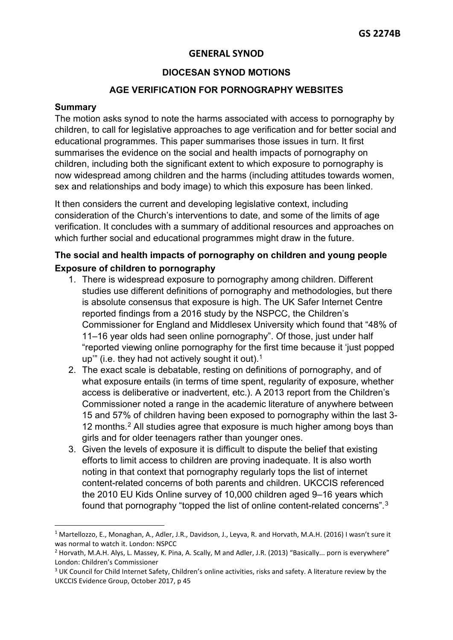## **DIOCESAN SYNOD MOTIONS**

## **AGE VERIFICATION FOR PORNOGRAPHY WEBSITES**

#### **Summary**

The motion asks synod to note the harms associated with access to pornography by children, to call for legislative approaches to age verification and for better social and educational programmes. This paper summarises those issues in turn. It first summarises the evidence on the social and health impacts of pornography on children, including both the significant extent to which exposure to pornography is now widespread among children and the harms (including attitudes towards women, sex and relationships and body image) to which this exposure has been linked.

It then considers the current and developing legislative context, including consideration of the Church's interventions to date, and some of the limits of age verification. It concludes with a summary of additional resources and approaches on which further social and educational programmes might draw in the future.

# **The social and health impacts of pornography on children and young people Exposure of children to pornography**

- 1. There is widespread exposure to pornography among children. Different studies use different definitions of pornography and methodologies, but there is absolute consensus that exposure is high. The UK Safer Internet Centre reported findings from a 2016 study by the NSPCC, the Children's Commissioner for England and Middlesex University which found that "48% of 11–16 year olds had seen online pornography". Of those, just under half "reported viewing online pornography for the first time because it 'just popped up" (i.e. they had not actively sought it out).<sup>[1](#page-0-0)</sup>
- 2. The exact scale is debatable, resting on definitions of pornography, and of what exposure entails (in terms of time spent, regularity of exposure, whether access is deliberative or inadvertent, etc.). A 2013 report from the Children's Commissioner noted a range in the academic literature of anywhere between 15 and 57% of children having been exposed to pornography within the last 3- 1[2](#page-0-1) months.<sup>2</sup> All studies agree that exposure is much higher among boys than girls and for older teenagers rather than younger ones.
- 3. Given the levels of exposure it is difficult to dispute the belief that existing efforts to limit access to children are proving inadequate. It is also worth noting in that context that pornography regularly tops the list of internet content-related concerns of both parents and children. UKCCIS referenced the 2010 EU Kids Online survey of 10,000 children aged 9–16 years which found that pornography "topped the list of online content-related concerns".[3](#page-0-2)

<span id="page-0-0"></span><sup>&</sup>lt;sup>1</sup> Martellozzo, E., Monaghan, A., Adler, J.R., Davidson, J., Leyva, R. and Horvath, M.A.H. (2016) I wasn't sure it was normal to watch it. London: NSPCC<br><sup>2</sup> Horvath, M.A.H. Alys, L. Massey, K. Pina, A. Scally, M and Adler, J.R. (2013) "Basically... porn is everywhere"

<span id="page-0-1"></span>London: Children's Commissioner

<span id="page-0-2"></span><sup>&</sup>lt;sup>3</sup> UK Council for Child Internet Safety, Children's online activities, risks and safety. A literature review by the UKCCIS Evidence Group, October 2017, p 45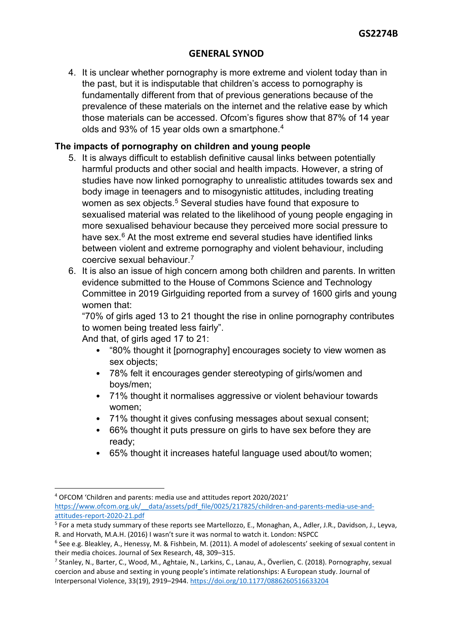4. It is unclear whether pornography is more extreme and violent today than in the past, but it is indisputable that children's access to pornography is fundamentally different from that of previous generations because of the prevalence of these materials on the internet and the relative ease by which those materials can be accessed. Ofcom's figures show that 87% of 14 year olds and 93% of 15 year olds own a smartphone.[4](#page-1-0)

# **The impacts of pornography on children and young people**

- 5. It is always difficult to establish definitive causal links between potentially harmful products and other social and health impacts. However, a string of studies have now linked pornography to unrealistic attitudes towards sex and body image in teenagers and to misogynistic attitudes, including treating women as sex objects.<sup>[5](#page-1-1)</sup> Several studies have found that exposure to sexualised material was related to the likelihood of young people engaging in more sexualised behaviour because they perceived more social pressure to have sex.<sup>[6](#page-1-2)</sup> At the most extreme end several studies have identified links between violent and extreme pornography and violent behaviour, including coercive sexual behaviour.[7](#page-1-3)
- 6. It is also an issue of high concern among both children and parents. In written evidence submitted to the House of Commons Science and Technology Committee in 2019 Girlguiding reported from a survey of 1600 girls and young women that:

"70% of girls aged 13 to 21 thought the rise in online pornography contributes to women being treated less fairly".

And that, of girls aged 17 to 21:

- "80% thought it [pornography] encourages society to view women as sex objects:
- 78% felt it encourages gender stereotyping of girls/women and boys/men;
- 71% thought it normalises aggressive or violent behaviour towards women;
- 71% thought it gives confusing messages about sexual consent;
- 66% thought it puts pressure on girls to have sex before they are ready;
- 65% thought it increases hateful language used about/to women;

<span id="page-1-0"></span><sup>4</sup> OFCOM 'Children and parents: media use and attitudes report 2020/2021' https://www.ofcom.org.uk/ data/assets/pdf file/0025/217825/children-and-parents-media-use-and-<br>attitudes-report-2020-21.pdf

<span id="page-1-1"></span><sup>&</sup>lt;sup>5</sup> For a meta study summary of these reports see Martellozzo, E., Monaghan, A., Adler, J.R., Davidson, J., Leyva, R. and Horvath, M.A.H. (2016) I wasn't sure it was normal to watch it. London: NSPCC

<span id="page-1-2"></span> $6$  See e.g. Bleakley, A., Henessy, M. & Fishbein, M. (2011). A model of adolescents' seeking of sexual content in their media choices. Journal of Sex Research, 48, 309–315.

<span id="page-1-3"></span><sup>7</sup> Stanley, N., Barter, C., Wood, M., Aghtaie, N., Larkins, C., Lanau, A., Överlien, C. (2018). Pornography, sexual coercion and abuse and sexting in young people's intimate relationships: A European study. Journal of Interpersonal Violence, 33(19), 2919–2944. <https://doi.org/10.1177/0886260516633204>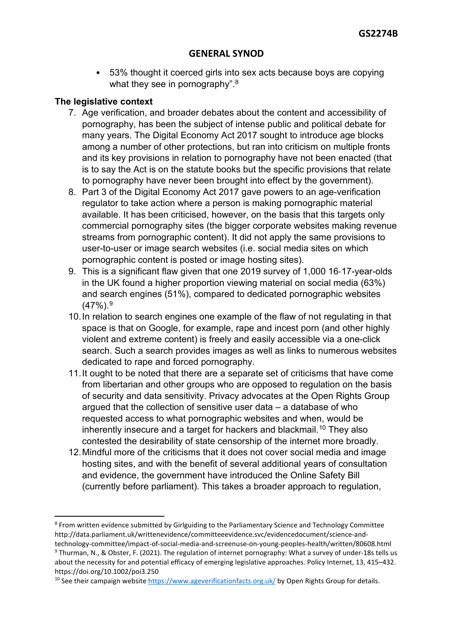• 53% thought it coerced girls into sex acts because boys are copying what they see in pornography".<sup>[8](#page-2-0)</sup>

# **The legislative context**

- 7. Age verification, and broader debates about the content and accessibility of pornography, has been the subject of intense public and political debate for many years. The Digital Economy Act 2017 sought to introduce age blocks among a number of other protections, but ran into criticism on multiple fronts and its key provisions in relation to pornography have not been enacted (that is to say the Act is on the statute books but the specific provisions that relate to pornography have never been brought into effect by the government).
- 8. Part 3 of the Digital Economy Act 2017 gave powers to an age-verification regulator to take action where a person is making pornographic material available. It has been criticised, however, on the basis that this targets only commercial pornography sites (the bigger corporate websites making revenue streams from pornographic content). It did not apply the same provisions to user-to-user or image search websites (i.e. social media sites on which pornographic content is posted or image hosting sites).
- 9. This is a significant flaw given that one 2019 survey of 1,000 16‐17-year-olds in the UK found a higher proportion viewing material on social media (63%) and search engines (51%), compared to dedicated pornographic websites  $(47\%)$ .<sup>[9](#page-2-1)</sup>
- 10.In relation to search engines one example of the flaw of not regulating in that space is that on Google, for example, rape and incest porn (and other highly violent and extreme content) is freely and easily accessible via a one-click search. Such a search provides images as well as links to numerous websites dedicated to rape and forced pornography.
- 11.It ought to be noted that there are a separate set of criticisms that have come from libertarian and other groups who are opposed to regulation on the basis of security and data sensitivity. Privacy advocates at the Open Rights Group argued that the collection of sensitive user data – a database of who requested access to what pornographic websites and when, would be inherently insecure and a target for hackers and blackmail.<sup>[10](#page-2-2)</sup> They also contested the desirability of state censorship of the internet more broadly.
- 12.Mindful more of the criticisms that it does not cover social media and image hosting sites, and with the benefit of several additional years of consultation and evidence, the government have introduced the Online Safety Bill (currently before parliament). This takes a broader approach to regulation,

<span id="page-2-0"></span><sup>8</sup> From written evidence submitted by Girlguiding to the Parliamentary Science and Technology Committee http://data.parliament.uk/writtenevidence/committeeevidence.svc/evidencedocument/science-andtechnology-committee/impact-of-social-media-and-screenuse-on-young-peoples-health/written/80608.html

<span id="page-2-1"></span><sup>9</sup> Thurman, N., & Obster, F. (2021). The regulation of internet pornography: What a survey of under-18s tells us about the necessity for and potential efficacy of emerging legislative approaches. Policy Internet, 13, 415–432. https://doi.org/10.1002/poi3.250

<span id="page-2-2"></span><sup>&</sup>lt;sup>10</sup> See their campaign website<https://www.ageverificationfacts.org.uk/> by Open Rights Group for details.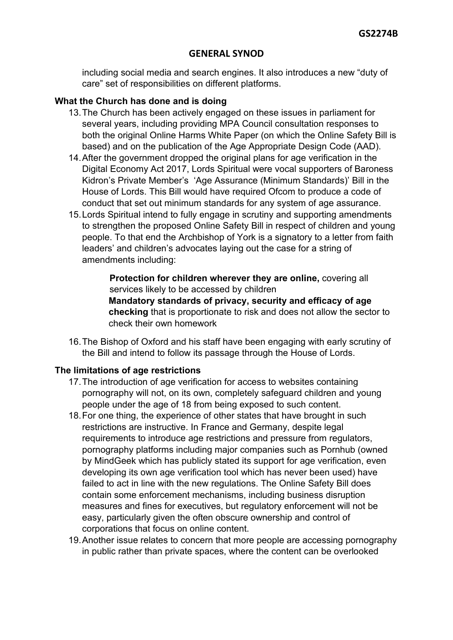including social media and search engines. It also introduces a new "duty of care" set of responsibilities on different platforms.

## **What the Church has done and is doing**

- 13.The Church has been actively engaged on these issues in parliament for several years, including providing MPA Council consultation responses to both the original Online Harms White Paper (on which the Online Safety Bill is based) and on the publication of the Age Appropriate Design Code (AAD).
- 14.After the government dropped the original plans for age verification in the Digital Economy Act 2017, Lords Spiritual were vocal supporters of Baroness Kidron's Private Member's 'Age Assurance (Minimum Standards)' Bill in the House of Lords. This Bill would have required Ofcom to produce a code of conduct that set out minimum standards for any system of age assurance.
- 15.Lords Spiritual intend to fully engage in scrutiny and supporting amendments to strengthen the proposed Online Safety Bill in respect of children and young people. To that end the Archbishop of York is a signatory to a letter from faith leaders' and children's advocates laying out the case for a string of amendments including:

**Protection for children wherever they are online, covering all** services likely to be accessed by children **Mandatory standards of privacy, security and efficacy of age checking** that is proportionate to risk and does not allow the sector to check their own homework

16.The Bishop of Oxford and his staff have been engaging with early scrutiny of the Bill and intend to follow its passage through the House of Lords.

#### **The limitations of age restrictions**

- 17.The introduction of age verification for access to websites containing pornography will not, on its own, completely safeguard children and young people under the age of 18 from being exposed to such content.
- 18.For one thing, the experience of other states that have brought in such restrictions are instructive. In France and Germany, despite legal requirements to introduce age restrictions and pressure from regulators, pornography platforms including major companies such as Pornhub (owned by MindGeek which has publicly stated its support for age verification, even developing its own age verification tool which has never been used) have failed to act in line with the new regulations. The Online Safety Bill does contain some enforcement mechanisms, including business disruption measures and fines for executives, but regulatory enforcement will not be easy, particularly given the often obscure ownership and control of corporations that focus on online content.
- 19.Another issue relates to concern that more people are accessing pornography in public rather than private spaces, where the content can be overlooked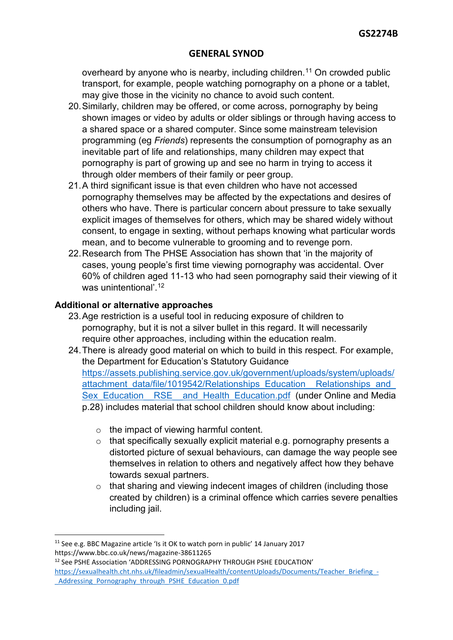overheard by anyone who is nearby, including children.<sup>[11](#page-4-0)</sup> On crowded public transport, for example, people watching pornography on a phone or a tablet, may give those in the vicinity no chance to avoid such content.

- 20.Similarly, children may be offered, or come across, pornography by being shown images or video by adults or older siblings or through having access to a shared space or a shared computer. Since some mainstream television programming (eg *Friends*) represents the consumption of pornography as an inevitable part of life and relationships, many children may expect that pornography is part of growing up and see no harm in trying to access it through older members of their family or peer group.
- 21.A third significant issue is that even children who have not accessed pornography themselves may be affected by the expectations and desires of others who have. There is particular concern about pressure to take sexually explicit images of themselves for others, which may be shared widely without consent, to engage in sexting, without perhaps knowing what particular words mean, and to become vulnerable to grooming and to revenge porn.
- 22.Research from The PHSE Association has shown that 'in the majority of cases, young people's first time viewing pornography was accidental. Over 60% of children aged 11-13 who had seen pornography said their viewing of it was unintentional'.<sup>[12](#page-4-1)</sup>

## **Additional or alternative approaches**

- 23.Age restriction is a useful tool in reducing exposure of children to pornography, but it is not a silver bullet in this regard. It will necessarily require other approaches, including within the education realm.
- 24.There is already good material on which to build in this respect. For example, the Department for Education's Statutory Guidance [https://assets.publishing.service.gov.uk/government/uploads/system/uploads/](https://assets.publishing.service.gov.uk/government/uploads/system/uploads/attachment_data/file/1019542/Relationships_Education__Relationships_and_Sex_Education__RSE__and_Health_Education.pdf) attachment\_data/file/1019542/Relationships\_Education\_\_Relationships\_and Sex Education RSE and Health Education.pdf (under Online and Media p.28) includes material that school children should know about including:
	- o the impact of viewing harmful content.
	- o that specifically sexually explicit material e.g. pornography presents a distorted picture of sexual behaviours, can damage the way people see themselves in relation to others and negatively affect how they behave towards sexual partners.
	- o that sharing and viewing indecent images of children (including those created by children) is a criminal offence which carries severe penalties including jail.

<span id="page-4-1"></span><sup>12</sup> See PSHE Association 'ADDRESSING PORNOGRAPHY THROUGH PSHE EDUCATION' [https://sexualhealth.cht.nhs.uk/fileadmin/sexualHealth/contentUploads/Documents/Teacher\\_Briefing\\_-](https://sexualhealth.cht.nhs.uk/fileadmin/sexualHealth/contentUploads/Documents/Teacher_Briefing_-_Addressing_Pornography_through_PSHE_Education_0.pdf) [\\_Addressing\\_Pornography\\_through\\_PSHE\\_Education\\_0.pdf](https://sexualhealth.cht.nhs.uk/fileadmin/sexualHealth/contentUploads/Documents/Teacher_Briefing_-_Addressing_Pornography_through_PSHE_Education_0.pdf) 

<span id="page-4-0"></span><sup>&</sup>lt;sup>11</sup> See e.g. BBC Magazine article 'Is it OK to watch porn in public' 14 January 2017 https://www.bbc.co.uk/news/magazine-38611265